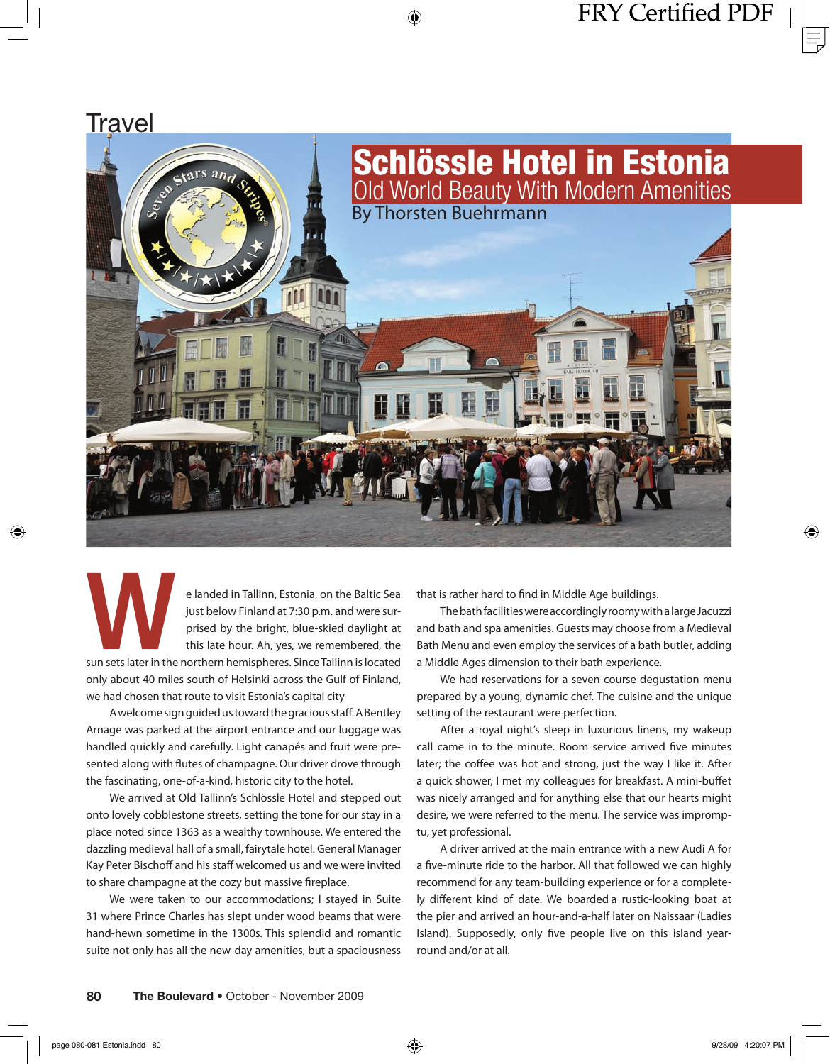Travel Schlössle Hotel in Estonia tars and Old World Beauty With Modern Amenities By Thorsten Buehrmann

e landed in Tallinn, Estonia, on the Baltic Sea<br>just below Finland at 7:30 p.m. and were sur-<br>prised by the bright, blue-skied daylight at<br>this late hour. Ah, yes, we remembered, the<br>sun sets later in the northern hemisphe just below Finland at 7:30 p.m. and were surprised by the bright, blue-skied daylight at this late hour. Ah, yes, we remembered, the

sun sets later in the northern hemispheres. Since Tallinn is located only about 40 miles south of Helsinki across the Gulf of Finland, we had chosen that route to visit Estonia's capital city

A welcome sign guided us toward the gracious staff . A Bentley Arnage was parked at the airport entrance and our luggage was handled quickly and carefully. Light canapés and fruit were presented along with flutes of champagne. Our driver drove through the fascinating, one-of-a-kind, historic city to the hotel.

We arrived at Old Tallinn's Schlössle Hotel and stepped out onto lovely cobblestone streets, setting the tone for our stay in a place noted since 1363 as a wealthy townhouse. We entered the dazzling medieval hall of a small, fairytale hotel. General Manager Kay Peter Bischoff and his staff welcomed us and we were invited to share champagne at the cozy but massive fireplace.

We were taken to our accommodations; I stayed in Suite 31 where Prince Charles has slept under wood beams that were hand-hewn sometime in the 1300s. This splendid and romantic suite not only has all the new-day amenities, but a spaciousness that is rather hard to find in Middle Age buildings.

The bath facilities were accordingly roomy with a large Jacuzzi and bath and spa amenities. Guests may choose from a Medieval Bath Menu and even employ the services of a bath butler, adding a Middle Ages dimension to their bath experience.

We had reservations for a seven-course degustation menu prepared by a young, dynamic chef. The cuisine and the unique setting of the restaurant were perfection.

After a royal night's sleep in luxurious linens, my wakeup call came in to the minute. Room service arrived five minutes later; the coffee was hot and strong, just the way I like it. After a quick shower, I met my colleagues for breakfast. A mini-buffet was nicely arranged and for anything else that our hearts might desire, we were referred to the menu. The service was impromptu, yet professional.

A driver arrived at the main entrance with a new Audi A for a five-minute ride to the harbor. All that followed we can highly recommend for any team-building experience or for a completely different kind of date. We boarded a rustic-looking boat at the pier and arrived an hour-and-a-half later on Naissaar (Ladies Island). Supposedly, only five people live on this island yearround and/or at all.